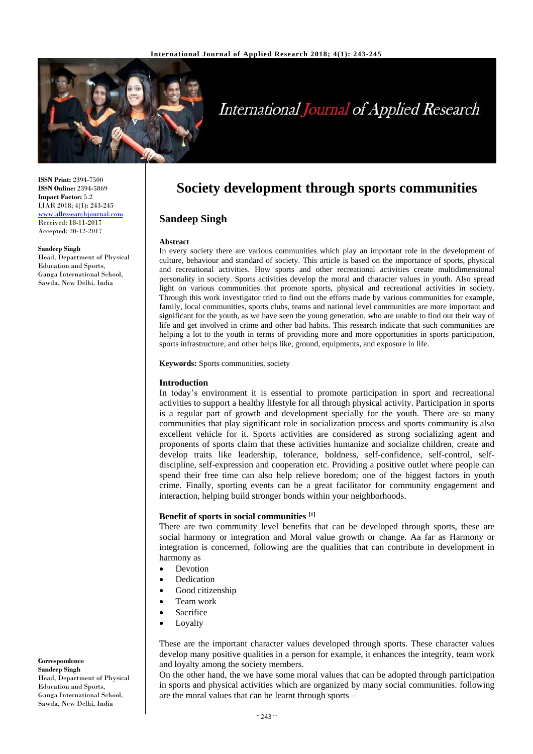

# **International Journal of Applied Research**

**ISSN Print:** 2394-7500 **ISSN Online:** 2394-5869 **Impact Factor:** 5.2 IJAR 2018; 4(1): 243-245 <www.allresearchjournal.com> Received: 18-11-2017 Accepted: 20-12-2017

#### **Sandeep Singh**

Head, Department of Physical Education and Sports, Ganga International School, Sawda, New Delhi, India

**Society development through sports communities**

# **Sandeep Singh**

#### **Abstract**

In every society there are various communities which play an important role in the development of culture, behaviour and standard of society. This article is based on the importance of sports, physical and recreational activities. How sports and other recreational activities create multidimensional personality in society. Sports activities develop the moral and character values in youth. Also spread light on various communities that promote sports, physical and recreational activities in society. Through this work investigator tried to find out the efforts made by various communities for example, family, local communities, sports clubs, teams and national level communities are more important and significant for the youth, as we have seen the young generation, who are unable to find out their way of life and get involved in crime and other bad habits. This research indicate that such communities are helping a lot to the youth in terms of providing more and more opportunities in sports participation, sports infrastructure, and other helps like, ground, equipments, and exposure in life.

**Keywords:** Sports communities, society

#### **Introduction**

In today's environment it is essential to promote participation in sport and recreational activities to support a healthy lifestyle for all through physical activity. Participation in sports is a regular part of growth and development specially for the youth. There are so many communities that play significant role in socialization process and sports community is also excellent vehicle for it. Sports activities are considered as strong socializing agent and proponents of sports claim that these activities humanize and socialize children, create and develop traits like leadership, tolerance, boldness, self-confidence, self-control, selfdiscipline, self-expression and cooperation etc. Providing a positive outlet where people can spend their free time can also help relieve boredom; one of the biggest factors in youth crime. Finally, sporting events can be a great facilitator for community engagement and interaction, helping build stronger bonds within your neighborhoods.

# **Benefit of sports in social communities [1]**

There are two community level benefits that can be developed through sports, these are social harmony or integration and Moral value growth or change. Aa far as Harmony or integration is concerned, following are the qualities that can contribute in development in harmony as

- Devotion
- Dedication
- Good citizenship
- Team work
- **Sacrifice**
- Loyalty

These are the important character values developed through sports. These character values develop many positive qualities in a person for example, it enhances the integrity, team work and loyalty among the society members.

On the other hand, the we have some moral values that can be adopted through participation in sports and physical activities which are organized by many social communities. following are the moral values that can be learnt through sports –

**Correspondence Sandeep Singh** Head, Department of Physical Education and Sports, Ganga International School, Sawda, New Delhi, India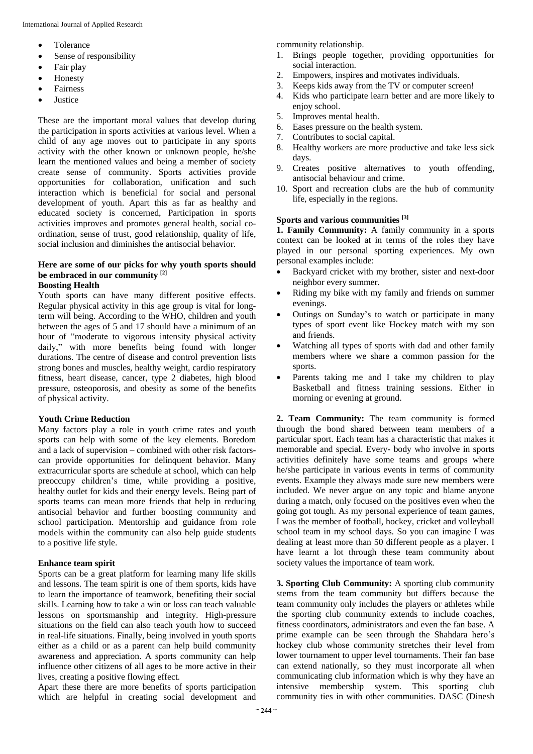- Tolerance
- Sense of responsibility
- Fair play
- Honesty
- Fairness
- Justice

These are the important moral values that develop during the participation in sports activities at various level. When a child of any age moves out to participate in any sports activity with the other known or unknown people, he/she learn the mentioned values and being a member of society create sense of community. Sports activities provide opportunities for collaboration, unification and such interaction which is beneficial for social and personal development of youth. Apart this as far as healthy and educated society is concerned, Participation in sports activities improves and promotes general health, social coordination, sense of trust, good relationship, quality of life, social inclusion and diminishes the antisocial behavior.

# **Here are some of our picks for why youth sports should be embraced in our community [2]**

# **Boosting Health**

Youth sports can have many different positive effects. Regular physical activity in this age group is vital for longterm will being. According to the WHO, children and youth between the ages of 5 and 17 should have a minimum of an hour of "moderate to vigorous intensity physical activity daily," with more benefits being found with longer durations. The centre of disease and control prevention lists strong bones and muscles, healthy weight, cardio respiratory fitness, heart disease, cancer, type 2 diabetes, high blood pressure, osteoporosis, and obesity as some of the benefits of physical activity.

## **Youth Crime Reduction**

Many factors play a role in youth crime rates and youth sports can help with some of the key elements. Boredom and a lack of supervision – combined with other risk factorscan provide opportunities for delinquent behavior. Many extracurricular sports are schedule at school, which can help preoccupy children's time, while providing a positive, healthy outlet for kids and their energy levels. Being part of sports teams can mean more friends that help in reducing antisocial behavior and further boosting community and school participation. Mentorship and guidance from role models within the community can also help guide students to a positive life style.

## **Enhance team spirit**

Sports can be a great platform for learning many life skills and lessons. The team spirit is one of them sports, kids have to learn the importance of teamwork, benefiting their social skills. Learning how to take a win or loss can teach valuable lessons on sportsmanship and integrity. High-pressure situations on the field can also teach youth how to succeed in real-life situations. Finally, being involved in youth sports either as a child or as a parent can help build community awareness and appreciation. A sports community can help influence other citizens of all ages to be more active in their lives, creating a positive flowing effect.

Apart these there are more benefits of sports participation which are helpful in creating social development and community relationship.

- 1. Brings people together, providing opportunities for social interaction.
- 2. Empowers, inspires and motivates individuals.
- 3. Keeps kids away from the TV or computer screen!
- 4. Kids who participate learn better and are more likely to enjoy school.
- 5. Improves mental health.
- 6. Eases pressure on the health system.
- 7. Contributes to social capital.
- 8. Healthy workers are more productive and take less sick days.
- 9. Creates positive alternatives to youth offending, antisocial behaviour and crime.
- 10. Sport and recreation clubs are the hub of community life, especially in the regions.

# **Sports and various communities [3]**

**1. Family Community:** A family community in a sports context can be looked at in terms of the roles they have played in our personal sporting experiences. My own personal examples include:

- Backyard cricket with my brother, sister and next-door neighbor every summer.
- Riding my bike with my family and friends on summer evenings.
- Outings on Sunday's to watch or participate in many types of sport event like Hockey match with my son and friends.
- Watching all types of sports with dad and other family members where we share a common passion for the sports.
- Parents taking me and I take my children to play Basketball and fitness training sessions. Either in morning or evening at ground.

**2. Team Community:** The team community is formed through the bond shared between team members of a particular sport. Each team has a characteristic that makes it memorable and special. Every- body who involve in sports activities definitely have some teams and groups where he/she participate in various events in terms of community events. Example they always made sure new members were included. We never argue on any topic and blame anyone during a match, only focused on the positives even when the going got tough. As my personal experience of team games, I was the member of football, hockey, cricket and volleyball school team in my school days. So you can imagine I was dealing at least more than 50 different people as a player. I have learnt a lot through these team community about society values the importance of team work.

**3. Sporting Club Community:** A sporting club community stems from the team community but differs because the team community only includes the players or athletes while the sporting club community extends to include coaches, fitness coordinators, administrators and even the fan base. A prime example can be seen through the Shahdara hero's hockey club whose community stretches their level from lower tournament to upper level tournaments. Their fan base can extend nationally, so they must incorporate all when communicating club information which is why they have an intensive membership system. This sporting club community ties in with other communities. DASC (Dinesh